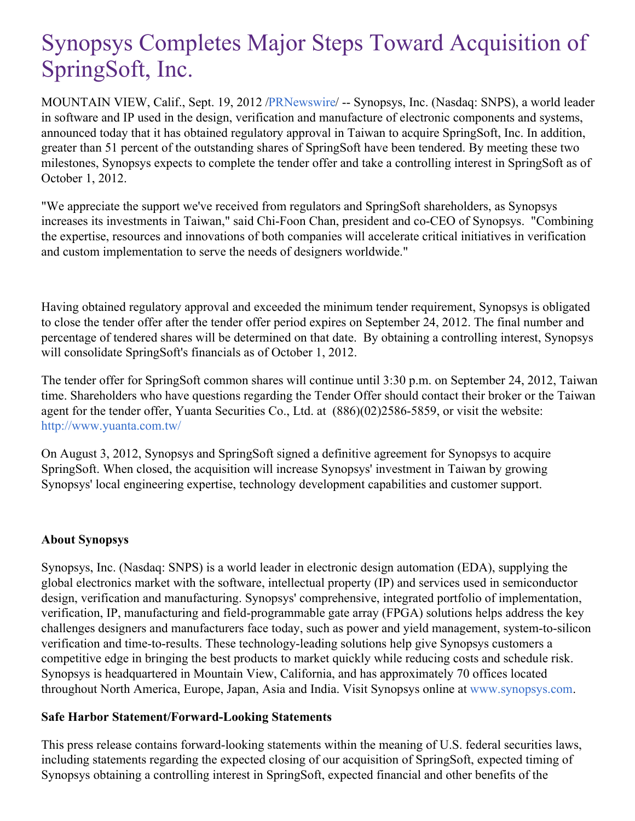# Synopsys Completes Major Steps Toward Acquisition of SpringSoft, Inc.

MOUNTAIN VIEW, Calif., Sept. 19, 2012 [/PRNewswire](http://www.prnewswire.com/)/ -- Synopsys, Inc. (Nasdaq: SNPS), a world leader in software and IP used in the design, verification and manufacture of electronic components and systems, announced today that it has obtained regulatory approval in Taiwan to acquire SpringSoft, Inc. In addition, greater than 51 percent of the outstanding shares of SpringSoft have been tendered. By meeting these two milestones, Synopsys expects to complete the tender offer and take a controlling interest in SpringSoft as of October 1, 2012.

"We appreciate the support we've received from regulators and SpringSoft shareholders, as Synopsys increases its investments in Taiwan," said Chi-Foon Chan, president and co-CEO of Synopsys. "Combining the expertise, resources and innovations of both companies will accelerate critical initiatives in verification and custom implementation to serve the needs of designers worldwide."

Having obtained regulatory approval and exceeded the minimum tender requirement, Synopsys is obligated to close the tender offer after the tender offer period expires on September 24, 2012. The final number and percentage of tendered shares will be determined on that date. By obtaining a controlling interest, Synopsys will consolidate SpringSoft's financials as of October 1, 2012.

The tender offer for SpringSoft common shares will continue until 3:30 p.m. on September 24, 2012, Taiwan time. Shareholders who have questions regarding the Tender Offer should contact their broker or the Taiwan agent for the tender offer, Yuanta Securities Co., Ltd. at (886)(02)2586-5859, or visit the website: <http://www.yuanta.com.tw/>

On August 3, 2012, Synopsys and SpringSoft signed a definitive agreement for Synopsys to acquire SpringSoft. When closed, the acquisition will increase Synopsys' investment in Taiwan by growing Synopsys' local engineering expertise, technology development capabilities and customer support.

## **About Synopsys**

Synopsys, Inc. (Nasdaq: SNPS) is a world leader in electronic design automation (EDA), supplying the global electronics market with the software, intellectual property (IP) and services used in semiconductor design, verification and manufacturing. Synopsys' comprehensive, integrated portfolio of implementation, verification, IP, manufacturing and field-programmable gate array (FPGA) solutions helps address the key challenges designers and manufacturers face today, such as power and yield management, system-to-silicon verification and time-to-results. These technology-leading solutions help give Synopsys customers a competitive edge in bringing the best products to market quickly while reducing costs and schedule risk. Synopsys is headquartered in Mountain View, California, and has approximately 70 offices located throughout North America, Europe, Japan, Asia and India. Visit Synopsys online at [www.synopsys.com](http://www.synopsys.com/).

## **Safe Harbor Statement/Forward-Looking Statements**

This press release contains forward-looking statements within the meaning of U.S. federal securities laws, including statements regarding the expected closing of our acquisition of SpringSoft, expected timing of Synopsys obtaining a controlling interest in SpringSoft, expected financial and other benefits of the